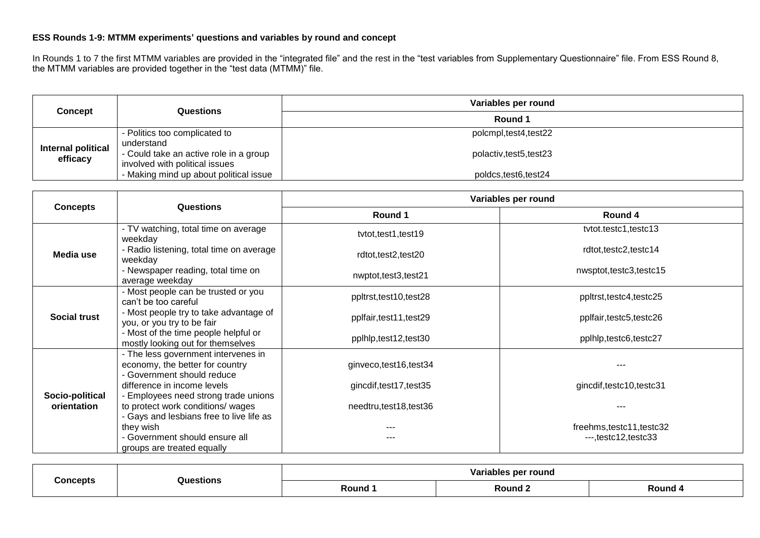## **ESS Rounds 1-9: MTMM experiments' questions and variables by round and concept**

In Rounds 1 to 7 the first MTMM variables are provided in the "integrated file" and the rest in the "test variables from Supplementary Questionnaire" file. From ESS Round 8, the MTMM variables are provided together in the "test data (MTMM)" file.

| Concept                        | Questions                                                                | Variables per round     |  |
|--------------------------------|--------------------------------------------------------------------------|-------------------------|--|
|                                |                                                                          | Round 1                 |  |
| Internal political<br>efficacy | - Politics too complicated to<br>understand                              | polcmpl, test4, test22  |  |
|                                | - Could take an active role in a group<br>involved with political issues | polactiv, test5, test23 |  |
|                                | - Making mind up about political issue                                   | poldcs, test6, test24   |  |

| <b>Concepts</b>                | <b>Questions</b>                                                                                                      | Variables per round     |                                                      |  |
|--------------------------------|-----------------------------------------------------------------------------------------------------------------------|-------------------------|------------------------------------------------------|--|
|                                |                                                                                                                       | Round 1                 | Round 4                                              |  |
|                                | - TV watching, total time on average<br>weekday                                                                       | tvtot, test1, test19    | tytot.testc1,testc13                                 |  |
| Media use                      | - Radio listening, total time on average<br>weekday                                                                   | rdtot,test2,test20      | rdtot,testc2,testc14                                 |  |
|                                | - Newspaper reading, total time on<br>average weekday                                                                 | nwptot,test3,test21     | nwsptot,testc3,testc15                               |  |
| <b>Social trust</b>            | - Most people can be trusted or you<br>can't be too careful                                                           | ppltrst, test10, test28 | ppltrst,testc4,testc25                               |  |
|                                | - Most people try to take advantage of<br>you, or you try to be fair                                                  | pplfair, test11, test29 | pplfair, testc5, testc26                             |  |
|                                | - Most of the time people helpful or<br>mostly looking out for themselves                                             | pplhlp, test12, test30  | pplhlp,testc6,testc27                                |  |
|                                | - The less government intervenes in<br>economy, the better for country<br>- Government should reduce                  | ginveco,test16,test34   |                                                      |  |
|                                | difference in income levels                                                                                           | gincdif, test17, test35 | gincdif, testc10, testc31                            |  |
| Socio-political<br>orientation | - Employees need strong trade unions<br>to protect work conditions/ wages<br>- Gays and lesbians free to live life as | needtru,test18,test36   |                                                      |  |
|                                | they wish<br>- Government should ensure all<br>groups are treated equally                                             |                         | freehms, testc11, testc32<br>$--$ , testc12, testc33 |  |

| `oncents |                                                                                                              | r round<br>Variable<br>. ner |       |       |
|----------|--------------------------------------------------------------------------------------------------------------|------------------------------|-------|-------|
|          | Questions<br>the contract of the contract of the contract of the contract of the contract of the contract of | Round                        | Round | Round |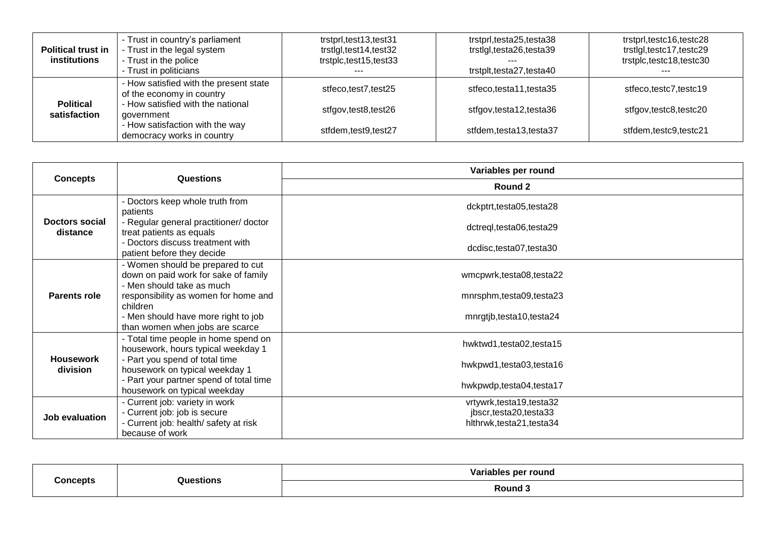| <b>Political trust in</b><br>institutions | - Trust in country's parliament<br>- Trust in the legal system<br>- Trust in the police<br>- Trust in politicians | trstprl,test13,test31<br>trstlgl,test14,test32<br>trstplc,test15,test33 | trstprl,testa25,testa38<br>trstlgl,testa26,testa39<br>trstplt,testa27,testa40 | trstprl,testc16,testc28<br>trstlgl,testc17,testc29<br>trstplc,testc18,testc30 |
|-------------------------------------------|-------------------------------------------------------------------------------------------------------------------|-------------------------------------------------------------------------|-------------------------------------------------------------------------------|-------------------------------------------------------------------------------|
| <b>Political</b><br>satisfaction          | How satisfied with the present state<br>of the economy in country                                                 | stfeco,test7,test25                                                     | stfeco,testa11,testa35                                                        | stfeco,testc7,testc19                                                         |
|                                           | - How satisfied with the national<br>government                                                                   | stfgov,test8,test26                                                     | stfgov,testa12,testa36                                                        | stfgov,testc8,testc20                                                         |
|                                           | - How satisfaction with the way<br>democracy works in country                                                     | stfdem,test9,test27                                                     | stfdem,testa13,testa37                                                        | stfdem.testc9.testc21                                                         |

|                              | Questions                                                                                                                  | Variables per round                                                             |  |
|------------------------------|----------------------------------------------------------------------------------------------------------------------------|---------------------------------------------------------------------------------|--|
| <b>Concepts</b>              |                                                                                                                            | Round 2                                                                         |  |
|                              | - Doctors keep whole truth from<br>patients                                                                                | dckptrt,testa05,testa28                                                         |  |
| Doctors social<br>distance   | - Regular general practitioner/ doctor<br>treat patients as equals                                                         | dctreql,testa06,testa29                                                         |  |
|                              | - Doctors discuss treatment with<br>patient before they decide                                                             | dcdisc,testa07,testa30                                                          |  |
| <b>Parents role</b>          | - Women should be prepared to cut<br>down on paid work for sake of family<br>- Men should take as much                     | wmcpwrk,testa08,testa22                                                         |  |
|                              | responsibility as women for home and<br>children                                                                           | mnrsphm,testa09,testa23                                                         |  |
|                              | - Men should have more right to job<br>than women when jobs are scarce                                                     | mnrgtjb,testa10,testa24                                                         |  |
|                              | - Total time people in home spend on<br>housework, hours typical weekday 1                                                 | hwktwd1,testa02,testa15                                                         |  |
| <b>Housework</b><br>division | - Part you spend of total time<br>housework on typical weekday 1                                                           | hwkpwd1,testa03,testa16                                                         |  |
|                              | - Part your partner spend of total time<br>housework on typical weekday                                                    | hwkpwdp,testa04,testa17                                                         |  |
| Job evaluation               | - Current job: variety in work<br>- Current job: job is secure<br>- Current job: health/ safety at risk<br>because of work | vrtywrk, testa 19, testa 32<br>jbscr,testa20,testa33<br>hlthrwk,testa21,testa34 |  |

| <b>Concepts</b> | Questions | Var<br>per round<br>uables. |  |
|-----------------|-----------|-----------------------------|--|
|                 |           | Round 3<br>.                |  |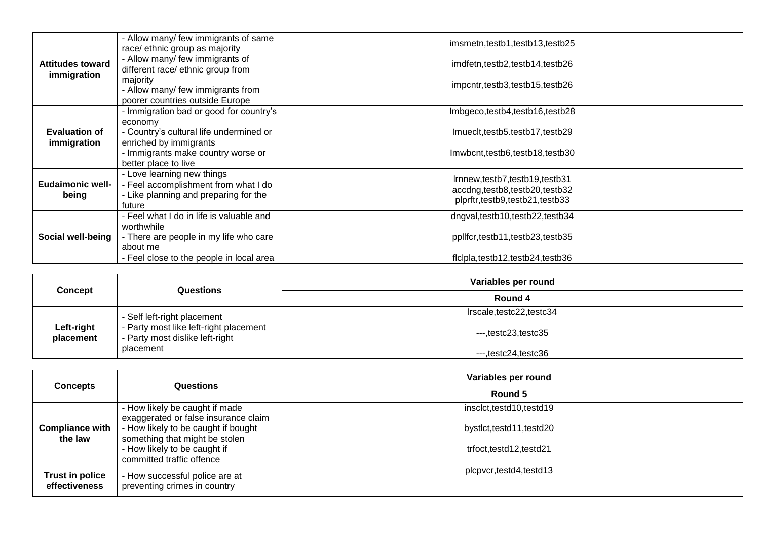|                                        | - Allow many/ few immigrants of same<br>race/ ethnic group as majority                                                | imsmetn,testb1,testb13,testb25                                                                   |
|----------------------------------------|-----------------------------------------------------------------------------------------------------------------------|--------------------------------------------------------------------------------------------------|
| <b>Attitudes toward</b><br>immigration | - Allow many/ few immigrants of<br>different race/ ethnic group from                                                  | imdfetn,testb2,testb14,testb26                                                                   |
|                                        | majority<br>- Allow many/ few immigrants from                                                                         | impcntr,testb3,testb15,testb26                                                                   |
|                                        | poorer countries outside Europe<br>- Immigration bad or good for country's                                            | Imbgeco,testb4,testb16,testb28                                                                   |
| <b>Evaluation of</b><br>immigration    | economy<br>- Country's cultural life undermined or<br>enriched by immigrants                                          | Imueclt, testb5.testb17, testb29                                                                 |
|                                        | - Immigrants make country worse or<br>better place to live                                                            | Imwbcnt,testb6,testb18,testb30                                                                   |
| Eudaimonic well-<br>being              | - Love learning new things<br>- Feel accomplishment from what I do<br>- Like planning and preparing for the<br>future | Irnnew,testb7,testb19,testb31<br>accdng,testb8,testb20,testb32<br>plprftr,testb9,testb21,testb33 |
| Social well-being                      | - Feel what I do in life is valuable and<br>worthwhile                                                                | dngval,testb10,testb22,testb34                                                                   |
|                                        | - There are people in my life who care<br>about me                                                                    | ppllfcr,testb11,testb23,testb35                                                                  |
|                                        | - Feel close to the people in local area                                                                              | ficipla,testb12,testb24,testb36                                                                  |

| Concept                 | Questions                                                                                                             | Variables per round            |
|-------------------------|-----------------------------------------------------------------------------------------------------------------------|--------------------------------|
|                         |                                                                                                                       | Round 4                        |
| Left-right<br>placement | - Self left-right placement<br>- Party most like left-right placement<br>- Party most dislike left-right<br>placement | Irscale, testc22, testc34      |
|                         |                                                                                                                       | $--$ , testc23, testc35        |
|                         |                                                                                                                       | $--$ , testc $24$ , testc $36$ |

|                                         | <b>Questions</b>                                                                                                                                                                                             | Variables per round                                                            |  |
|-----------------------------------------|--------------------------------------------------------------------------------------------------------------------------------------------------------------------------------------------------------------|--------------------------------------------------------------------------------|--|
| <b>Concepts</b>                         |                                                                                                                                                                                                              | Round 5                                                                        |  |
| <b>Compliance with</b><br>the law       | - How likely be caught if made<br>exaggerated or false insurance claim<br>- How likely to be caught if bought<br>something that might be stolen<br>- How likely to be caught if<br>committed traffic offence | insclct,testd10,testd19<br>bystict, testd11, testd20<br>trfoct,testd12,testd21 |  |
| <b>Trust in police</b><br>effectiveness | - How successful police are at<br>preventing crimes in country                                                                                                                                               | plcpvcr,testd4,testd13                                                         |  |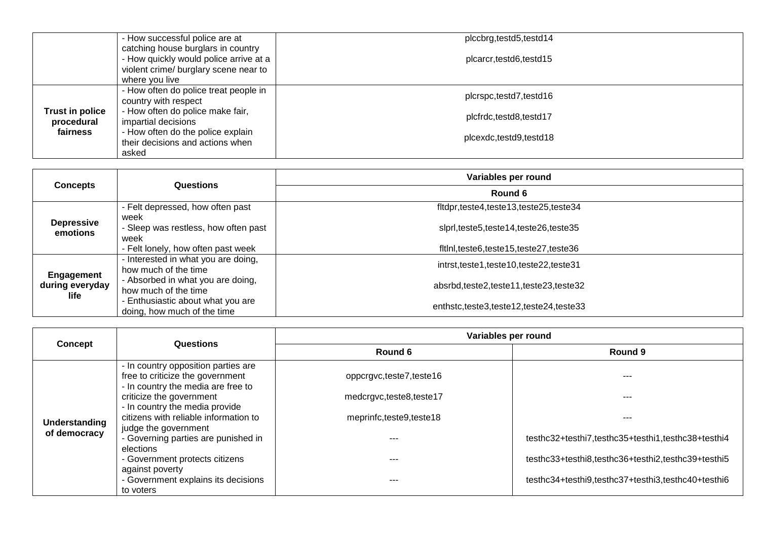|                                           | - How successful police are at<br>catching house burglars in country<br>- How quickly would police arrive at a | plccbrg, testd5, testd14<br>plcarcr, testd6, testd15 |
|-------------------------------------------|----------------------------------------------------------------------------------------------------------------|------------------------------------------------------|
|                                           | violent crime/ burglary scene near to<br>where you live                                                        |                                                      |
|                                           | - How often do police treat people in<br>country with respect                                                  | plcrspc,testd7,testd16                               |
| Trust in police<br>procedural<br>fairness | - How often do police make fair,<br>impartial decisions                                                        | plcfrdc,testd8,testd17                               |
|                                           | - How often do the police explain<br>their decisions and actions when                                          | plcexdc,testd9,testd18                               |
|                                           | asked                                                                                                          |                                                      |

|                                       | Questions                                                        | Variables per round                       |  |
|---------------------------------------|------------------------------------------------------------------|-------------------------------------------|--|
| <b>Concepts</b>                       |                                                                  | Round 6                                   |  |
|                                       | - Felt depressed, how often past                                 | fltdpr,teste4,teste13,teste25,teste34     |  |
| <b>Depressive</b><br>emotions         | week<br>- Sleep was restless, how often past<br>week             | slprl,teste5,teste14,teste26,teste35      |  |
|                                       | - Felt lonely, how often past week                               | fitini, teste6, teste15, teste27, teste36 |  |
| Engagement<br>during everyday<br>life | - Interested in what you are doing,<br>how much of the time      | intrst,teste1,teste10,teste22,teste31     |  |
|                                       | - Absorbed in what you are doing,<br>how much of the time        | absrbd,teste2,teste11,teste23,teste32     |  |
|                                       | - Enthusiastic about what you are<br>doing, how much of the time | enthstc.teste3.teste12.teste24.teste33    |  |

|                | Questions                                                                                                                                                                                                            | Variables per round                                                           |                                                    |  |
|----------------|----------------------------------------------------------------------------------------------------------------------------------------------------------------------------------------------------------------------|-------------------------------------------------------------------------------|----------------------------------------------------|--|
| <b>Concept</b> |                                                                                                                                                                                                                      | Round 6                                                                       | Round 9                                            |  |
| Understanding  | - In country opposition parties are<br>free to criticize the government<br>- In country the media are free to<br>criticize the government<br>- In country the media provide<br>citizens with reliable information to | oppcrgvc,teste7,teste16<br>medcrgvc,teste8,teste17<br>meprinfc,teste9,teste18 | $- - -$                                            |  |
| of democracy   | judge the government<br>- Governing parties are punished in<br>elections                                                                                                                                             | ---                                                                           | testhc32+testhi7,testhc35+testhi1,testhc38+testhi4 |  |
|                | - Government protects citizens                                                                                                                                                                                       |                                                                               | testhc33+testhi8,testhc36+testhi2,testhc39+testhi5 |  |
|                | against poverty<br>- Government explains its decisions<br>to voters                                                                                                                                                  | ---                                                                           | testhc34+testhi9,testhc37+testhi3,testhc40+testhi6 |  |